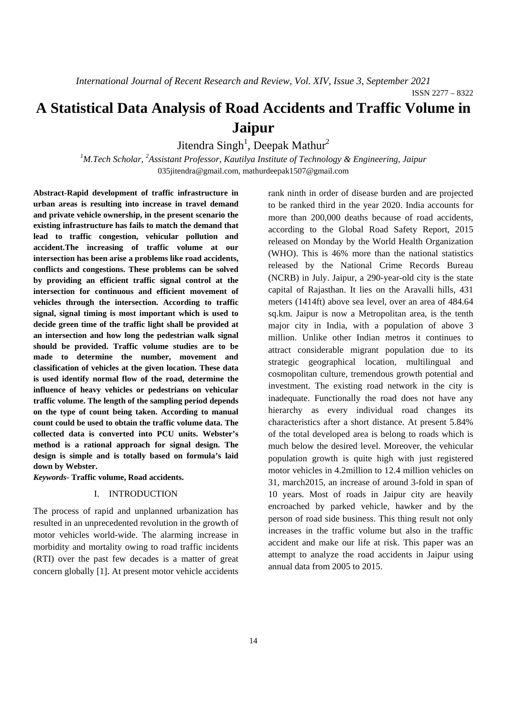# **A Statistical Data Analysis of Road Accidents and Traffic Volume in Jaipur**

Jitendra  $\text{Singh}^1$ , Deepak Mathur<sup>2</sup>

<sup>1</sup>M.Tech Scholar, <sup>2</sup>Assistant Professor, Kautilya Institute of Technology & Engineering, Jaipur 035jitendra@gmail.com, mathurdeepak1507@gmail.com

**Abstract-Rapid development of traffic infrastructure in urban areas is resulting into increase in travel demand and private vehicle ownership, in the present scenario the existing infrastructure has fails to match the demand that lead to traffic congestion, vehicular pollution and accident.The increasing of traffic volume at our intersection has been arise a problems like road accidents, conflicts and congestions. These problems can be solved by providing an efficient traffic signal control at the intersection for continuous and efficient movement of vehicles through the intersection. According to traffic signal, signal timing is most important which is used to decide green time of the traffic light shall be provided at an intersection and how long the pedestrian walk signal should be provided. Traffic volume studies are to be made to determine the number, movement and classification of vehicles at the given location. These data is used identify normal flow of the road, determine the influence of heavy vehicles or pedestrians on vehicular traffic volume. The length of the sampling period depends on the type of count being taken. According to manual count could be used to obtain the traffic volume data. The collected data is converted into PCU units. Webster's method is a rational approach for signal design. The design is simple and is totally based on formula's laid down by Webster.** 

*Keywords-* **Traffic volume, Road accidents.** 

### I. INTRODUCTION

The process of rapid and unplanned urbanization has resulted in an unprecedented revolution in the growth of motor vehicles world-wide. The alarming increase in morbidity and mortality owing to road traffic incidents (RTI) over the past few decades is a matter of great concern globally [1]. At present motor vehicle accidents

rank ninth in order of disease burden and are projected to be ranked third in the year 2020. India accounts for more than 200,000 deaths because of road accidents, according to the Global Road Safety Report, 2015 released on Monday by the World Health Organization (WHO). This is 46% more than the national statistics released by the National Crime Records Bureau (NCRB) in July. Jaipur, a 290-year-old city is the state capital of Rajasthan. It lies on the Aravalli hills, 431 meters (1414ft) above sea level, over an area of 484.64 sq.km. Jaipur is now a Metropolitan area, is the tenth major city in India, with a population of above 3 million. Unlike other Indian metros it continues to attract considerable migrant population due to its strategic geographical location, multilingual and cosmopolitan culture, tremendous growth potential and investment. The existing road network in the city is inadequate. Functionally the road does not have any hierarchy as every individual road changes its characteristics after a short distance. At present 5.84% of the total developed area is belong to roads which is much below the desired level. Moreover, the vehicular population growth is quite high with just registered motor vehicles in 4.2million to 12.4 million vehicles on 31, march2015, an increase of around 3-fold in span of 10 years. Most of roads in Jaipur city are heavily encroached by parked vehicle, hawker and by the person of road side business. This thing result not only increases in the traffic volume but also in the traffic accident and make our life at risk. This paper was an attempt to analyze the road accidents in Jaipur using annual data from 2005 to 2015.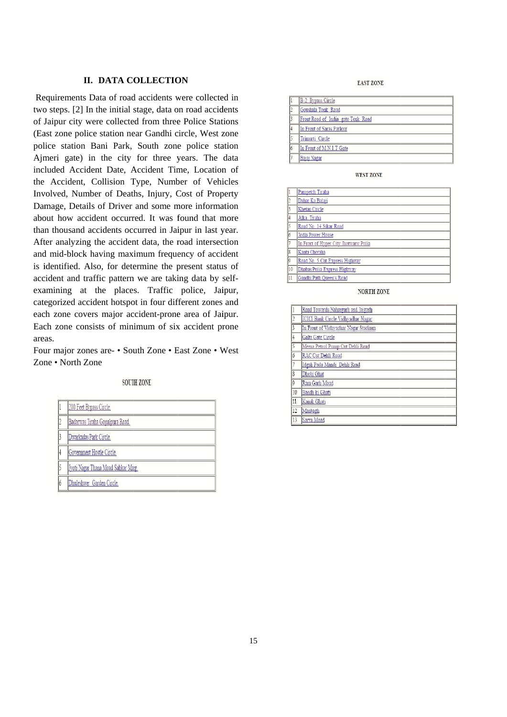## **II. DATA COLLECTION**

Requirements Data of road accidents were collected in two steps. [2] In the initial stage, data on road accidents of Jaipur city were collected from three Police Stations (East zone police station near Gandhi circle, West zone police station Bani Park, South zone police station Ajmeri gate) in the city for three years. The data included Accident Date, Accident Time, Location of the Accident, Collision Type, Number of Vehicles Involved, Number of Deaths, Injury, Cost of Property Damage, Details of Driver and some more information about how accident occurred. It was found that more than thousand accidents occurred in Jaipur in last year. After analyzing the accident data, the road intersection and mid-block having maximum frequency of accident is identified. Also, for determine the present status of accident and traffic pattern we are taking data by selfexamining at the places. Traffic police, Jaipur, categorized accident hotspot in four different zones and each zone covers major accident-prone area of Jaipur. Each zone consists of minimum of six accident prone areas.

Four major zones are- • South Zone • East Zone • West Zone • North Zone

**SOUTH ZONE** 

| <b>Sala</b><br>Y |  |  |  |
|------------------|--|--|--|

| 200 Feet Bypass Circle.             |
|-------------------------------------|
| Badarwas Tiraha Gopalpura Road.     |
| Dwarkadas Park Circle.              |
| Government Hostle Circle.           |
| Jyoti Nagar Thana Moad Sahkar Marg. |
| Dhuleshwer Garden Circle.           |

#### **EAST ZONE**

|           | B-2 Bypass Circle                  |
|-----------|------------------------------------|
|           | Goushala Tonk Road                 |
|           | Front Road of India gate Tonk Road |
|           | In Front of Saras Parlour          |
|           | Trimurti Circle                    |
| $\vert$ 6 | In Front of M.N.I.T Gate           |
|           | Bajaj Nagar                        |

**WEST ZONE** 

| 1              | Panipetch Tiraha                      |
|----------------|---------------------------------------|
| $\overline{c}$ | Dahar Ka Balaji                       |
| 3              | Khetan Circle                         |
| 4              | Alka Tiraha                           |
| 5.             | Road No. 14 Sikar Road                |
| 6              | Jodia Power House                     |
| 7              | In Front of Hyper City Jhotwarw Pulia |
| 8              | Kanta Choraha                         |
| O,             | Road No. 5 Cut Express Highway        |
| 10             | Dhabas Pulia Express Highway          |
| 11             | Gandhi Path Oueen's Road              |
|                |                                       |

NORTH ZONE

|          | Road Towards Nahargarh and Jaigarh   |  |  |  |
|----------|--------------------------------------|--|--|--|
|          | ICICI Bank Circle Vidhvadhar Nagar   |  |  |  |
|          | In Front of Vidhvadhar Nagar Stadium |  |  |  |
|          | Galta Gate Circle                    |  |  |  |
| 5        | Meena Petrol Pump Cut Dehli Road     |  |  |  |
| 6        | RAC Cut Dehli Road                   |  |  |  |
|          | Idgah Pada Mandi Dehli Road          |  |  |  |
| $\delta$ | Dhobi Ghat                           |  |  |  |
| Ō        | Ram Garh Moad                        |  |  |  |
| 10       | Bandh ki Ghati                       |  |  |  |
| 11       | Kanak Ghati                          |  |  |  |
| 12       | Manbagh                              |  |  |  |
| 13       | Sarva Moad                           |  |  |  |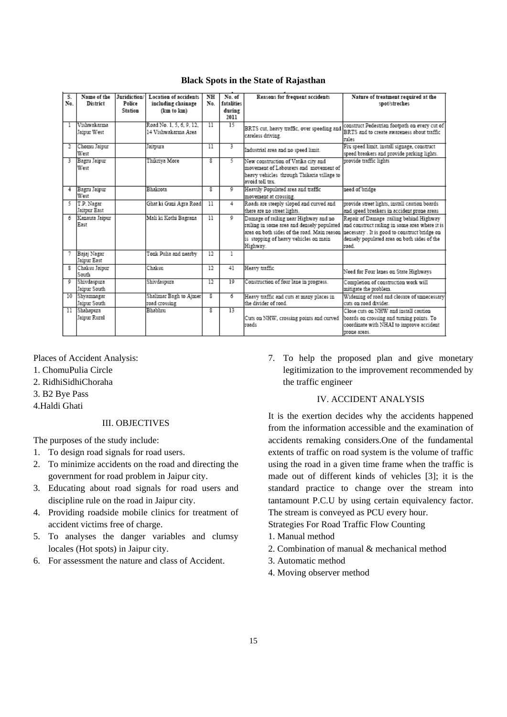| S.               | Name of the            | Juridiction/ | <b>Location of accidents</b> | NH  | No of           | Reasons for frequent accidents              | Nature of treatment required at the            |
|------------------|------------------------|--------------|------------------------------|-----|-----------------|---------------------------------------------|------------------------------------------------|
| No.              | District               | Police       | including chainage           | No. | fatalities      |                                             | spot/streches                                  |
|                  |                        | Station      | (km to km)                   |     | during          |                                             |                                                |
|                  |                        |              |                              |     | 2011            |                                             |                                                |
|                  | Vishwakarma            |              | Road No. 1, 5, 6, 9, 12,     | 11  | $\overline{15}$ | BRTS cut, heavy traffic, over speeding and  | construct Pedestrian footpath on every cut of  |
|                  | Jaipur West            |              | 14 Vishwakarma Area          |     |                 | careless driving.                           | BRTS and to create awareness about traffic     |
|                  |                        |              |                              |     |                 |                                             | rules                                          |
| 2                | Chomu Jaipur           |              | Jaitpura                     | 11  | 3               | Industrial area and no speed limit.         | Fix speed limit, install signage, construct    |
|                  | West                   |              |                              |     |                 |                                             | speed breakers and provide parking lights.     |
| 3                | Bagni Jaipur           |              | Thikriva More                | s.  | s.              | New construction of Vatika city and         | provide traffic lights                         |
|                  | West                   |              |                              |     |                 | movement of Labourers and movement of       |                                                |
|                  |                        |              |                              |     |                 | heavy vehicles through Thikaria village to  |                                                |
|                  |                        |              |                              |     |                 | avoid toll tax.                             |                                                |
| 4                | Bagru Jaipur           |              | Bhakrota                     | ŝ   | ٥               | Heavily Populated area and traffic          | need of bridge                                 |
|                  | West                   |              |                              |     |                 | movement at crossing.                       |                                                |
| 5.               | T.P. Nagar             |              | Ghat ki Guni Agra Road       | 11  | 4               | Roads are steeply sloped and curved and     | provide street lights, install caution boards  |
|                  | Jaitpur East           |              |                              |     |                 | there are no street lights.                 | and speed breakers in accident prone areas     |
| 6.               | Kanauta Jaipur         |              | Mali ki Kothi Bagrana        | 11  | ۰               | Damage of railing near Highway and no       | Repair of Damage railing behind Highway        |
|                  | East                   |              |                              |     |                 | railing in some area and densely populated  | and construct railing in some area where it is |
|                  |                        |              |                              |     |                 | area on both sides of the road. Main reason | necessary . It is good to construct bridge on  |
|                  |                        |              |                              |     |                 | is stopping of heavy vehicles on main       | densely populated area on both sides of the    |
|                  |                        |              |                              |     |                 | Highway.                                    | road.                                          |
| 7.               | Bajaj Nagar            |              | Tonk Pulia and nearby        | 12  | 1               |                                             |                                                |
|                  | Jaipur East            |              |                              |     |                 |                                             |                                                |
| Ř.               | Chaksu Jaipur<br>South |              | Chaksu                       | 12  | 41              | Heavy traffic                               | Need for Four lanes on State Highways          |
| ٥                | Shivdaspura            |              | Shivdaspura                  | 12  | 10              | Construction of four lane in progress.      | Completion of construction work will           |
|                  | Jaipur South           |              |                              |     |                 |                                             | mitigate the problem.                          |
| 10 <sup>10</sup> | Shyamnagar             |              | Shalimar Bagh to Aimer       | 8   | 6.              | Heavy traffic and cuts at many places in    | Widening of road and closure of unnecessary    |
|                  | Jaipur South           |              | road crossing                |     |                 | the divider of road                         | cuts on road divider.                          |
| 11               | Shahapura              |              | Bhabhru                      | s.  | 13              |                                             | Close cuts on NHW and install caution          |
|                  | Jaiour Rural           |              |                              |     |                 | Cuts on NHW, crossing points and curved     | boards on crossing and turning points. To      |
|                  |                        |              |                              |     |                 | roads                                       | coordinate with NHAI to improve accident       |
|                  |                        |              |                              |     |                 |                                             | prone areas.                                   |
|                  |                        |              |                              |     |                 |                                             |                                                |

### **Black Spots in the State of Rajasthan**

Places of Accident Analysis:

- 1. ChomuPulia Circle
- 2. RidhiSidhiChoraha
- 3. B2 Bye Pass
- 4.Haldi Ghati

#### III. OBJECTIVES

The purposes of the study include:

- 1. To design road signals for road users.
- 2. To minimize accidents on the road and directing the government for road problem in Jaipur city.
- 3. Educating about road signals for road users and discipline rule on the road in Jaipur city.
- 4. Providing roadside mobile clinics for treatment of accident victims free of charge.
- 5. To analyses the danger variables and clumsy locales (Hot spots) in Jaipur city.
- 6. For assessment the nature and class of Accident.

7. To help the proposed plan and give monetary legitimization to the improvement recommended by the traffic engineer

## IV. ACCIDENT ANALYSIS

It is the exertion decides why the accidents happened from the information accessible and the examination of accidents remaking considers.One of the fundamental extents of traffic on road system is the volume of traffic using the road in a given time frame when the traffic is made out of different kinds of vehicles [3]; it is the standard practice to change over the stream into tantamount P.C.U by using certain equivalency factor. The stream is conveyed as PCU every hour.

Strategies For Road Traffic Flow Counting

- 1. Manual method
- 2. Combination of manual & mechanical method
- 3. Automatic method
- 4. Moving observer method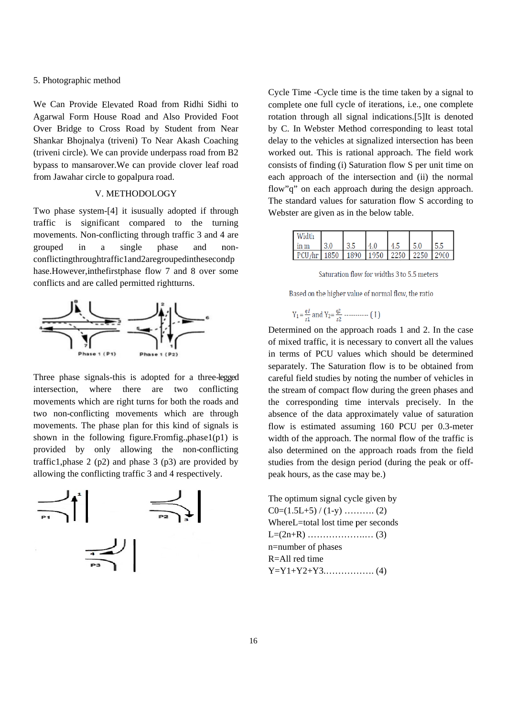### 5. Photographic method

We Can Provide Elevated Road from Ridhi Sidhi to Agarwal Form House Road and Also Provided Foot Over Bridge to Cross Road by Student from Near Shankar Bhojnalya (triveni) To Near Akash Coaching (triveni circle). We can provide underpass road from B2 bypass to mansarover. We can provide clover leaf road from Jawahar circle to gopalpura road.

## V. METHODOLOGY

Two phase system-[4] it is usually adopted if through traffic is significant compared to the turning movements. Non-conflicting through traffic 3 and 4 are grouped in  $\mathbf{a}$ single phase and nonconflictingthroughtraffic1and2aregroupedinthesecondp hase.However,inthefirstphase flow 7 and 8 over some conflicts and are called permitted rightturns.



Three phase signals-this is adopted for a three-legged intersection, where there are two conflicting movements which are right turns for both the roads and two non-conflicting movements which are through movements. The phase plan for this kind of signals is shown in the following figure. From fig., phase 1(p1) is provided by only allowing the non-conflicting traffic1, phase  $2$  (p2) and phase  $3$  (p3) are provided by allowing the conflicting traffic 3 and 4 respectively.



Cycle Time - Cycle time is the time taken by a signal to complete one full cycle of iterations, *i.e.*, one complete rotation through all signal indications.[5]It is denoted by C. In Webster Method corresponding to least total delay to the vehicles at signalized intersection has been worked out. This is rational approach. The field work consists of finding (i) Saturation flow S per unit time on each approach of the intersection and (ii) the normal flow" q" on each approach during the design approach. The standard values for saturation flow S according to Webster are given as in the below table.

| ın m |      |      |      | $\mathbf{A}$ | ۲.۵  |       |
|------|------|------|------|--------------|------|-------|
|      | 1850 | 1890 | 1950 | <b>2250</b>  | 2250 | 12900 |

Saturation flow for widths 3 to 5.5 meters

Based on the higher value of normal flow, the ratio

Y<sub>1</sub> = 
$$
\frac{qI}{s1}
$$
 and Y<sub>2</sub> =  $\frac{q2}{s2}$  ......... (1)

Determined on the approach roads 1 and 2. In the case of mixed traffic, it is necessary to convert all the values in terms of PCU values which should be determined separately. The Saturation flow is to be obtained from careful field studies by noting the number of vehicles in the stream of compact flow during the green phases and the corresponding time intervals precisely. In the absence of the data approximately value of saturation flow is estimated assuming 160 PCU per 0.3-meter width of the approach. The normal flow of the traffic is also determined on the approach roads from the field studies from the design period (during the peak or offpeak hours, as the case may be.)

The optimum signal cycle given by WhereL=total lost time per seconds n=number of phases R=All red time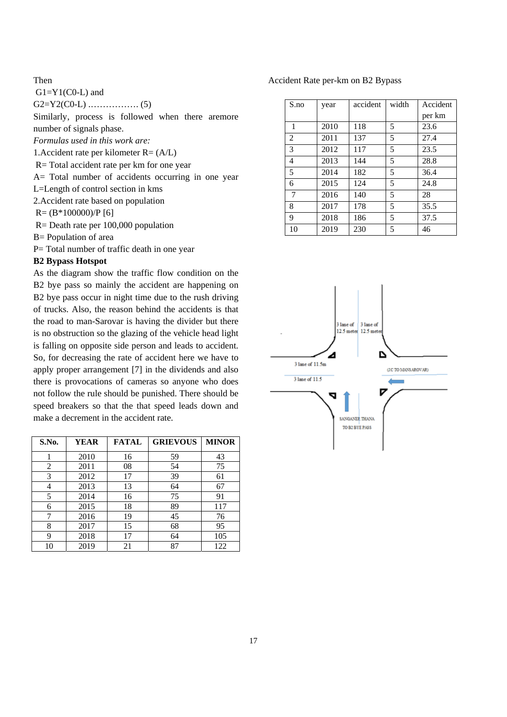## Then

 $G1 = Y1(C0-L)$  and

G2=Y2(C0-L) .……………. (5)

Similarly, process is followed when there aremore number of signals phase.

*Formulas used in this work are:* 

1. Accident rate per kilometer  $R = (A/L)$ 

R= Total accident rate per km for one year

A= Total number of accidents occurring in one year

L=Length of control section in kms

2.Accident rate based on population

 $R = (B*100000)/P$  [6]

R= Death rate per 100,000 population

B= Population of area

P= Total number of traffic death in one year

## **B2 Bypass Hotspot**

As the diagram show the traffic flow condition on the B2 bye pass so mainly the accident are happening on B2 bye pass occur in night time due to the rush driving of trucks. Also, the reason behind the accidents is that the road to man-Sarovar is having the divider but there is no obstruction so the glazing of the vehicle head light is falling on opposite side person and leads to accident. So, for decreasing the rate of accident here we have to apply proper arrangement [7] in the dividends and also there is provocations of cameras so anyone who does not follow the rule should be punished. There should be speed breakers so that the that speed leads down and make a decrement in the accident rate.

| S.No. | <b>YEAR</b> | <b>FATAL</b> | <b>GRIEVOUS</b> | <b>MINOR</b> |
|-------|-------------|--------------|-----------------|--------------|
|       | 2010        | 16           | 59              | 43           |
| 2     | 2011        | 08           | 54              | 75           |
| 3     | 2012        | 17           | 39              | 61           |
| 4     | 2013        | 13           | 64              | 67           |
| 5     | 2014        | 16           | 75              | 91           |
| 6     | 2015        | 18           | 89              | 117          |
| 7     | 2016        | 19           | 45              | 76           |
| 8     | 2017        | 15           | 68              | 95           |
| 9     | 2018        | 17           | 64              | 105          |
| 10    | 2019        | 21           | 87              | 122          |

Accident Rate per-km on B2 Bypass

| S.no   | year | accident | width | Accident |
|--------|------|----------|-------|----------|
|        |      |          |       | per km   |
| 1      | 2010 | 118      | 5     | 23.6     |
| 2      | 2011 | 137      | 5     | 27.4     |
| 3      | 2012 | 117      | 5     | 23.5     |
| 4      | 2013 | 144      | 5     | 28.8     |
| 5      | 2014 | 182      | 5     | 36.4     |
| 6      | 2015 | 124      | 5     | 24.8     |
| $\tau$ | 2016 | 140      | 5     | 28       |
| 8      | 2017 | 178      | 5     | 35.5     |
| 9      | 2018 | 186      | 5     | 37.5     |
| 10     | 2019 | 230      | 5     | 46       |

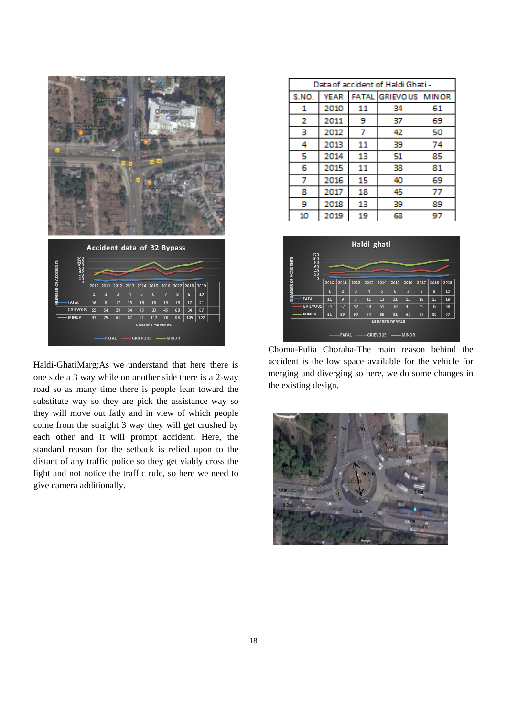

Haldi-GhatiMarg:As we understand that here there is one side a 3 way while on another side there is a 2-way road so as many time there is people lean toward the substitute way so they are pick the assistance way so they will move out fatly and in view of which people come from the straight 3 way they will get crushed by each other and it will prompt accident. Here, the standard reason for the setback is relied upon to the distant of any traffic police so they get viably cross the light and not notice the traffic rule, so here we need to give camera additionally.

| Data of accident of Haldi Ghati - |             |    |                      |    |  |  |
|-----------------------------------|-------------|----|----------------------|----|--|--|
| S.NO.                             | <b>YEAR</b> |    | FATAL GRIEVOUS MINOR |    |  |  |
| 1                                 | 2010        | 11 | 34                   | 61 |  |  |
| 2                                 | 2011        | 9  | 37                   | 69 |  |  |
| з                                 | 2012        | 7  | 42                   | 50 |  |  |
| 4                                 | 2013        | 11 | 39                   | 74 |  |  |
| 5                                 | 2014        | 13 | 51                   | 85 |  |  |
| 6                                 | 2015        | 11 | 38                   | 81 |  |  |
| 7                                 | 2016        | 15 | 40                   | 69 |  |  |
| 8                                 | 2017        | 18 | 45                   | 77 |  |  |
| 9                                 | 2018        | 13 | 39                   | 89 |  |  |
| 10                                | 2019        | 19 | 68                   | 97 |  |  |



Chomu-Pulia Choraha-The main reason behind the accident is the low space available for the vehicle for merging and diverging so here, we do some changes in the existing design.

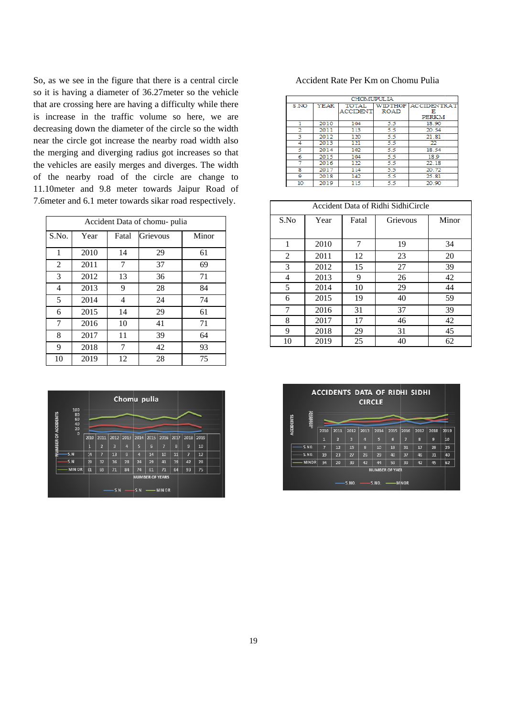So, as we see in the figure that there is a central circle so it is having a diameter of 36.27 meter so the vehicle that are crossing here are having a difficulty while there is increase in the traffic volume so here, we are decreasing down the diameter of the circle so the width nea ar the circle got increase e the nearby road width also the merging and diverging radius got increases so that the vehicles are easily merges and diverges. The width of the nearby road of the circle are change to 11.10 meter and 9.8 meter towards Jaipur Road of 7.6 meter and 6.1 meter towards sikar road respectively.

| Accident Data of chomu- pulia |      |       |          |       |  |  |
|-------------------------------|------|-------|----------|-------|--|--|
| S.No.                         | Year | Fatal | Grievous | Minor |  |  |
| 1                             | 2010 | 14    | 29       | 61    |  |  |
| 2                             | 2011 | 7     | 37       | 69    |  |  |
| 3                             | 2012 | 13    | 36       | 71    |  |  |
| 4                             | 2013 | 9     | 28       | 84    |  |  |
| 5                             | 2014 | 4     | 24       | 74    |  |  |
| 6                             | 2015 | 14    | 29       | 61    |  |  |
| 7                             | 2016 | 10    | 41       | 71    |  |  |
| 8                             | 2017 | 11    | 39       | 64    |  |  |
| 9                             | 2018 | 7     | 42       | 93    |  |  |
| 10                            | 2019 | 12    | 28       | 75    |  |  |



#### Accident Rate Per Km on Chomu Pulia

|      | <b>CHOMUPULIA</b> |              |             |                            |  |  |  |  |
|------|-------------------|--------------|-------------|----------------------------|--|--|--|--|
| S NO | <b>YEAR</b>       | <b>TOTAL</b> |             | <b>WIDTHOF ACCIDENTRAT</b> |  |  |  |  |
|      |                   | ACCIDENT     | <b>ROAD</b> | н                          |  |  |  |  |
|      |                   |              |             | <b>PERKM</b>               |  |  |  |  |
|      | 2010              | 104          | 5.5         | 18.90                      |  |  |  |  |
| 2    | 2011              | 113          | 5.5         | 20.54                      |  |  |  |  |
| з    | 2012              | 120          | 5.5         | 21.81                      |  |  |  |  |
| 4    | 2013              | 121          | 5.5         | 22                         |  |  |  |  |
| 5    | 2014              | 102          | 5.5         | 18.54                      |  |  |  |  |
| 6    | 2015              | 104          | 5.5         | 18.9                       |  |  |  |  |
| 7    | 2016              | 122          | 5.5         | 22.18                      |  |  |  |  |
| s    | 2017              | 114          | 5.5         | 20.72                      |  |  |  |  |
| 9    | 2018              | 142          | 5.5         | 25.81                      |  |  |  |  |
| 10   | 2019              | 115          | 5.5         | 20.90                      |  |  |  |  |

| Accident Data of Ridhi SidhiCircle |      |       |          |       |  |
|------------------------------------|------|-------|----------|-------|--|
| S.No                               | Year | Fatal | Grievous | Minor |  |
|                                    |      |       |          |       |  |
| 1                                  | 2010 | 7     | 19       | 34    |  |
| 2                                  | 2011 | 12    | 23       | 20    |  |
| 3                                  | 2012 | 15    | 27       | 39    |  |
| 4                                  | 2013 | 9     | 26       | 42    |  |
| 5                                  | 2014 | 10    | 29       | 44    |  |
| 6                                  | 2015 | 19    | 40       | 59    |  |
| 7                                  | 2016 | 31    | 37       | 39    |  |
| 8                                  | 2017 | 17    | 46       | 42    |  |
| 9                                  | 2018 | 29    | 31       | 45    |  |
| 10                                 | 2019 | 25    | 40       | 62    |  |

| <b>ACCIDENTS DATA OF RIDHI SIDHI</b><br><b>CIRCLE</b> |              |              |                |                |                |                         |                 |      |      |      |      |
|-------------------------------------------------------|--------------|--------------|----------------|----------------|----------------|-------------------------|-----------------|------|------|------|------|
| <b>ACCIDENTS</b>                                      | 胡甜           |              |                |                |                |                         |                 |      |      |      |      |
|                                                       |              | 2010         | 2011           | 2012           | 2013           | 2014                    | 2015            | 2016 | 2017 | 2018 | 2019 |
|                                                       |              | $\mathbf{1}$ | $\overline{2}$ | $\overline{3}$ | $\overline{4}$ | $\overline{\mathbf{5}}$ | $6\overline{6}$ | 7    | 8    | 9    | 10   |
|                                                       | S.NO.        | 7            | 12             | 15             | 9              | 10                      | 19              | 31   | 17   | 29   | 25   |
|                                                       | 5.00.        | 19           | 23             | 27             | 26             | 29                      | 40              | 37   | 46   | 31   | 40   |
|                                                       | <b>MINOR</b> | 34           | 20             | 39             | 42             | 44                      | 59              | 39   | 42   | 45   | 62   |
| <b>NUMBER OF YAER</b>                                 |              |              |                |                |                |                         |                 |      |      |      |      |
| 5.00.<br>5.NO.<br><b>MINOR</b>                        |              |              |                |                |                |                         |                 |      |      |      |      |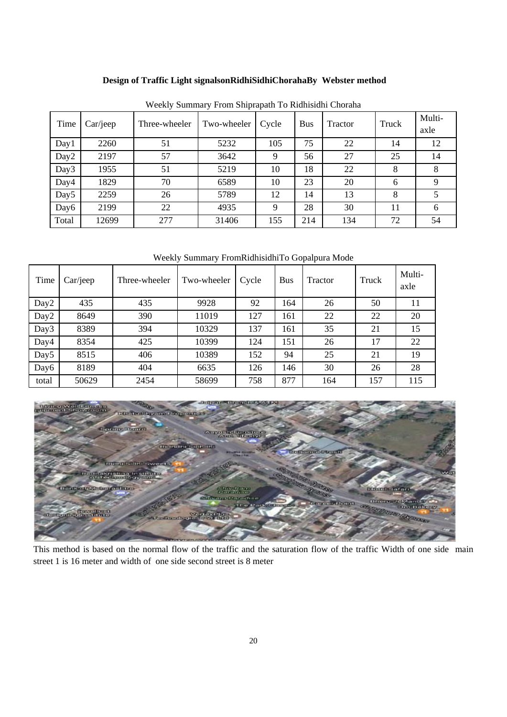# **Design of Traffic Light signalsonRidhiSidhiChorahaBy Webster method**

| Time             | Car/jeep | Three-wheeler | Two-wheeler | Cycle | <b>Bus</b> | Tractor | Truck | Multi-<br>axle |
|------------------|----------|---------------|-------------|-------|------------|---------|-------|----------------|
| Day1             | 2260     | 51            | 5232        | 105   | 75         | 22      | 14    | 12             |
| Day <sub>2</sub> | 2197     | 57            | 3642        | 9     | 56         | 27      | 25    | 14             |
| Day3             | 1955     | 51            | 5219        | 10    | 18         | 22      | 8     | 8              |
| Day4             | 1829     | 70            | 6589        | 10    | 23         | 20      | 6     | 9              |
| Day <sub>5</sub> | 2259     | 26            | 5789        | 12    | 14         | 13      | 8     |                |
| Day6             | 2199     | 22            | 4935        | 9     | 28         | 30      | 11    | 6              |
| Total            | 12699    | 277           | 31406       | 155   | 214        | 134     | 72    | 54             |

Weekly Summary From Shiprapath To Ridhisidhi Choraha

Weekly Summary FromRidhisidhiTo Gopalpura Mode

| Time             | Car/icep | Three-wheeler | Two-wheeler | Cycle | <b>Bus</b> | Tractor | Truck | Multi-<br>axle |
|------------------|----------|---------------|-------------|-------|------------|---------|-------|----------------|
| Day2             | 435      | 435           | 9928        | 92    | 164        | 26      | 50    | 11             |
| Day2             | 8649     | 390           | 11019       | 127   | 161        | 22      | 22    | 20             |
| Day3             | 8389     | 394           | 10329       | 137   | 161        | 35      | 21    | 15             |
| Day4             | 8354     | 425           | 10399       | 124   | 151        | 26      | 17    | 22             |
| Day <sub>5</sub> | 8515     | 406           | 10389       | 152   | 94         | 25      | 21    | 19             |
| Day6             | 8189     | 404           | 6635        | 126   | 146        | 30      | 26    | 28             |
| total            | 50629    | 2454          | 58699       | 758   | 877        | 164     | 157   | 115            |



This method is based on the normal flow of the traffic and the saturation flow of the traffic Width of one side main street 1 is 16 meter and width of one side second street is 8 meter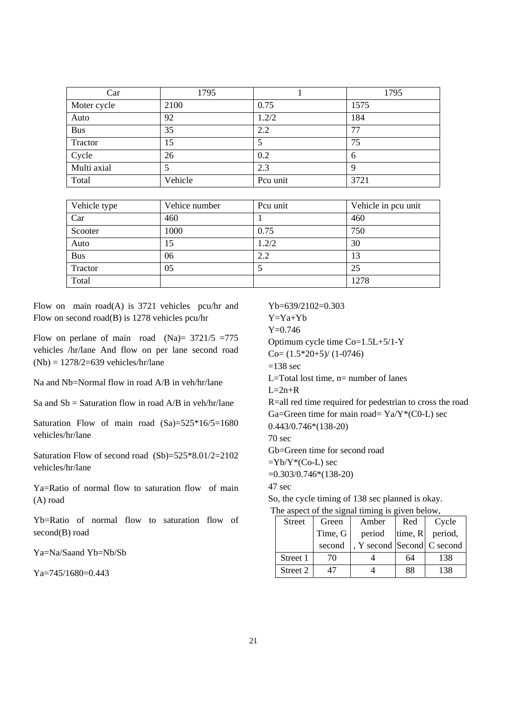| Car         | 1795    |          | 1795 |
|-------------|---------|----------|------|
| Moter cycle | 2100    | 0.75     | 1575 |
| Auto        | 92      | 1.2/2    | 184  |
| <b>Bus</b>  | 35      | 2.2      | 77   |
| Tractor     | 15      | 5        | 75   |
| Cycle       | 26      | 0.2      | 6    |
| Multi axial |         | 2.3      | 9    |
| Total       | Vehicle | Pcu unit | 3721 |

| Vehicle type | Vehice number | Pcu unit | Vehicle in pcu unit |
|--------------|---------------|----------|---------------------|
| Car          | 460           |          | 460                 |
| Scooter      | 1000          | 0.75     | 750                 |
| Auto         | 15            | 1.2/2    | 30                  |
| <b>Bus</b>   | 06            | 2.2      | 13                  |
| Tractor      | 05            |          | 25                  |
| Total        |               |          | 1278                |

Flow on main road(A) is 3721 vehicles pcu/hr and Flow on second road(B) is 1278 vehicles pcu/hr

Flow on perlane of main road  $(Na) = 3721/5 = 775$ vehicles /hr/lane And flow on per lane second road  $(Nb) = 1278/2=639$  vehicles/hr/lane

Na and Nb=Normal flow in road A/B in veh/hr/lane

Sa and  $Sb =$  Saturation flow in road  $A/B$  in veh/hr/lane

Saturation Flow of main road (Sa)=525\*16/5=1680 vehicles/hr/lane

Saturation Flow of second road (Sb)=525\*8.01/2=2102 vehicles/hr/lane

Ya=Ratio of normal flow to saturation flow of main (A) road

Yb=Ratio of normal flow to saturation flow of second(B) road

Ya=Na/Saand Yb=Nb/Sb

Ya=745/1680=0.443

Yb=639/2102=0.303

Y=Ya+Yb Y=0.746 Optimum cycle time Co=1.5L+5/1-Y

 $Co=(1.5*20+5)/(1-0746)$ 

 $=138$  sec

L=Total lost time,  $n=$  number of lanes

 $L=2n+R$ 

R=all red time required for pedestrian to cross the road Ga=Green time for main road=  $Ya/Y*(CO-L)$  sec 0.443/0.746\*(138-20)

70 sec

Gb=Green time for second road

 $=Yb/Y^*(Co-L)$  sec

=0.303/0.746\*(138-20)

47 sec

So, the cycle timing of 138 sec planned is okay. The aspect of the signal timing is given below,

| <b>Street</b> | Green   | Amber                      | Red     | Cycle   |  |
|---------------|---------|----------------------------|---------|---------|--|
|               | Time, G | period                     | time, R | period, |  |
|               | second  | , Y second Second C second |         |         |  |
| Street 1      | 70      |                            | 64      | 138     |  |
| Street 2      |         |                            | 88      | 138     |  |